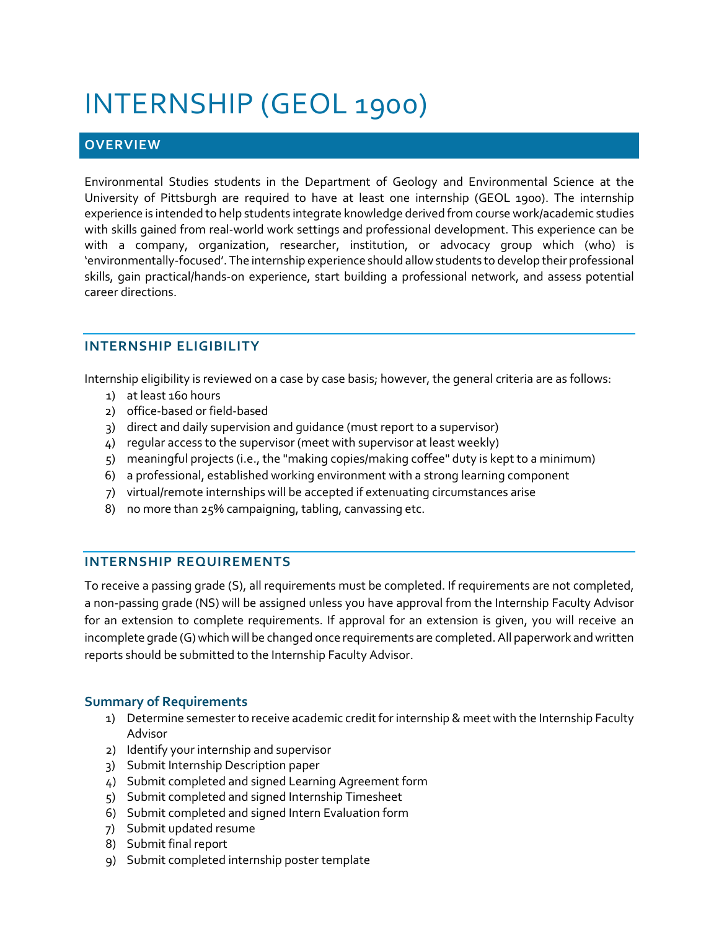# INTERNSHIP (GEOL 1900)

## **OVERVIEW**

Environmental Studies students in the Department of Geology and Environmental Science at the University of Pittsburgh are required to have at least one internship (GEOL 1900). The internship experience is intended to help students integrate knowledge derived from course work/academic studies with skills gained from real-world work settings and professional development. This experience can be with a company, organization, researcher, institution, or advocacy group which (who) is 'environmentally-focused'. The internship experience should allow students to develop their professional skills, gain practical/hands-on experience, start building a professional network, and assess potential career directions.

### **INTERNSHIP ELIGIBILITY**

Internship eligibility is reviewed on a case by case basis; however, the general criteria are as follows:

- 1) at least 160 hours
- 2) office-based or field-based
- 3) direct and daily supervision and guidance (must report to a supervisor)
- 4) regular access to the supervisor (meet with supervisor at least weekly)
- 5) meaningful projects (i.e., the "making copies/making coffee" duty is kept to a minimum)
- 6) a professional, established working environment with a strong learning component
- 7) virtual/remote internships will be accepted if extenuating circumstances arise
- 8) no more than 25% campaigning, tabling, canvassing etc.

#### **INTERNSHIP REQUIREMENTS**

To receive a passing grade (S), all requirements must be completed. If requirements are not completed, a non-passing grade (NS) will be assigned unless you have approval from the Internship Faculty Advisor for an extension to complete requirements. If approval for an extension is given, you will receive an incomplete grade (G) which will be changed once requirements are completed. All paperwork and written reports should be submitted to the Internship Faculty Advisor.

#### **Summary of Requirements**

- 1) Determine semester to receive academic credit for internship & meet with the Internship Faculty Advisor
- 2) Identify your internship and supervisor
- 3) Submit Internship Description paper
- 4) Submit completed and signed Learning Agreement form
- 5) Submit completed and signed Internship Timesheet
- 6) Submit completed and signed Intern Evaluation form
- 7) Submit updated resume
- 8) Submit final report
- 9) Submit completed internship poster template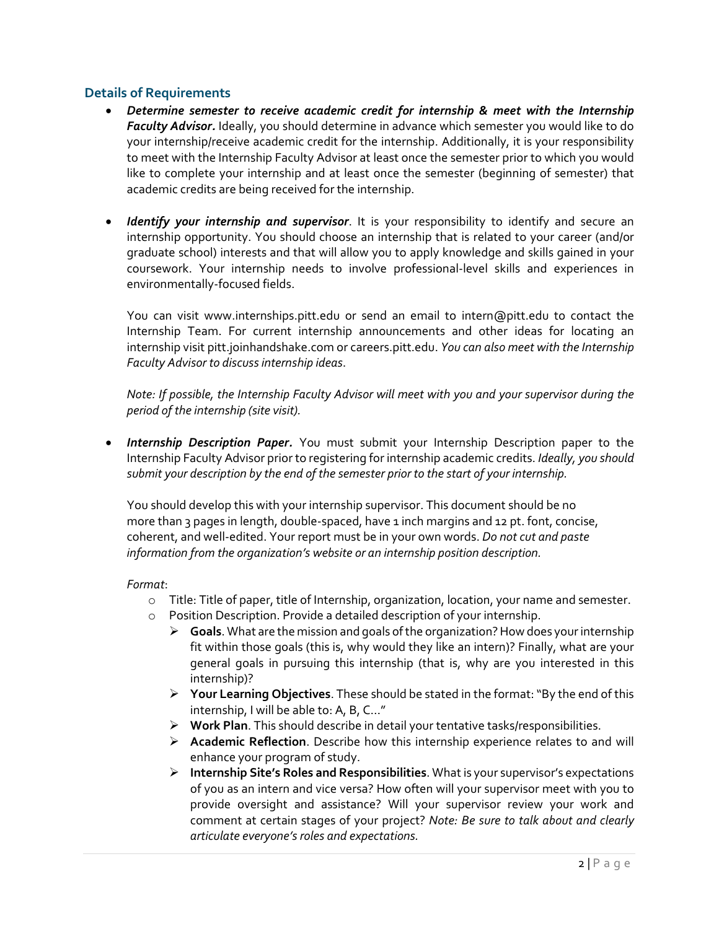#### **Details of Requirements**

- *Determine semester to receive academic credit for internship & meet with the Internship Faculty Advisor.* Ideally, you should determine in advance which semester you would like to do your internship/receive academic credit for the internship. Additionally, it is your responsibility to meet with the Internship Faculty Advisor at least once the semester prior to which you would like to complete your internship and at least once the semester (beginning of semester) that academic credits are being received for the internship.
- *Identify your internship and supervisor*. It is your responsibility to identify and secure an internship opportunity. You should choose an internship that is related to your career (and/or graduate school) interests and that will allow you to apply knowledge and skills gained in your coursework. Your internship needs to involve professional-level skills and experiences in environmentally-focused fields.

You can visit www.internships.pitt.edu or send an email to intern@pitt.edu to contact the Internship Team. For current internship announcements and other ideas for locating an internship visit pitt.joinhandshake.com or careers.pitt.edu. *You can also meet with the Internship Faculty Advisor to discuss internship ideas*.

*Note: If possible, the Internship Faculty Advisor will meet with you and your supervisor during the period of the internship (site visit).*

• *Internship Description Paper.* You must submit your Internship Description paper to the Internship Faculty Advisor prior to registering for internship academic credits. *Ideally, you should submit your description by the end of the semester prior to the start of your internship.*

You should develop this with your internship supervisor. This document should be no more than 3 pages in length, double-spaced, have 1 inch margins and 12 pt. font, concise, coherent, and well-edited. Your report must be in your own words. *Do not cut and paste information from the organization's website or an internship position description.*

*Format*:

- o Title: Title of paper, title of Internship, organization, location, your name and semester.
- o Position Description. Provide a detailed description of your internship.
	- **Goals**. What are the mission and goals of the organization? How does your internship fit within those goals (this is, why would they like an intern)? Finally, what are your general goals in pursuing this internship (that is, why are you interested in this internship)?
	- **Your Learning Objectives**. These should be stated in the format: "By the end of this internship, I will be able to: A, B, C…"
	- **Work Plan**. This should describe in detail your tentative tasks/responsibilities.
	- **Academic Reflection**. Describe how this internship experience relates to and will enhance your program of study.
	- **Internship Site's Roles and Responsibilities**. What is your supervisor's expectations of you as an intern and vice versa? How often will your supervisor meet with you to provide oversight and assistance? Will your supervisor review your work and comment at certain stages of your project? *Note: Be sure to talk about and clearly articulate everyone's roles and expectations.*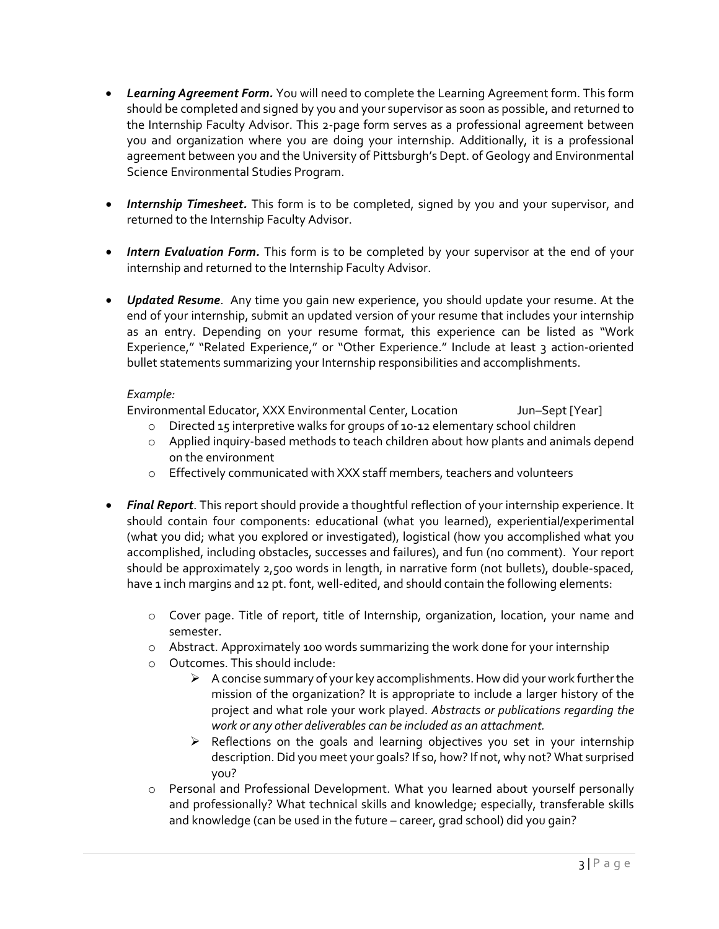- *Learning Agreement Form.* You will need to complete the Learning Agreement form. This form should be completed and signed by you and your supervisor as soon as possible, and returned to the Internship Faculty Advisor. This 2-page form serves as a professional agreement between you and organization where you are doing your internship. Additionally, it is a professional agreement between you and the University of Pittsburgh's Dept. of Geology and Environmental Science Environmental Studies Program.
- *Internship Timesheet.* This form is to be completed, signed by you and your supervisor, and returned to the Internship Faculty Advisor.
- *Intern Evaluation Form.* This form is to be completed by your supervisor at the end of your internship and returned to the Internship Faculty Advisor.
- *Updated Resume*. Any time you gain new experience, you should update your resume. At the end of your internship, submit an updated version of your resume that includes your internship as an entry. Depending on your resume format, this experience can be listed as "Work Experience," "Related Experience," or "Other Experience." Include at least 3 action-oriented bullet statements summarizing your Internship responsibilities and accomplishments.

#### *Example:*

Environmental Educator, XXX Environmental Center, Location Jun–Sept [Year]

- o Directed 15 interpretive walks for groups of 10-12 elementary school children
- o Applied inquiry-based methods to teach children about how plants and animals depend on the environment
- o Effectively communicated with XXX staff members, teachers and volunteers
- *Final Report*. This report should provide a thoughtful reflection of your internship experience. It should contain four components: educational (what you learned), experiential/experimental (what you did; what you explored or investigated), logistical (how you accomplished what you accomplished, including obstacles, successes and failures), and fun (no comment). Your report should be approximately 2,500 words in length, in narrative form (not bullets), double-spaced, have 1 inch margins and 12 pt. font, well-edited, and should contain the following elements:
	- o Cover page. Title of report, title of Internship, organization, location, your name and semester.
	- o Abstract. Approximately 100 words summarizing the work done for your internship
	- o Outcomes. This should include:
		- $\triangleright$  A concise summary of your key accomplishments. How did your work further the mission of the organization? It is appropriate to include a larger history of the project and what role your work played. *Abstracts or publications regarding the work or any other deliverables can be included as an attachment.*
		- $\triangleright$  Reflections on the goals and learning objectives you set in your internship description. Did you meet your goals? If so, how? If not, why not? What surprised you?
	- o Personal and Professional Development. What you learned about yourself personally and professionally? What technical skills and knowledge; especially, transferable skills and knowledge (can be used in the future – career, grad school) did you gain?